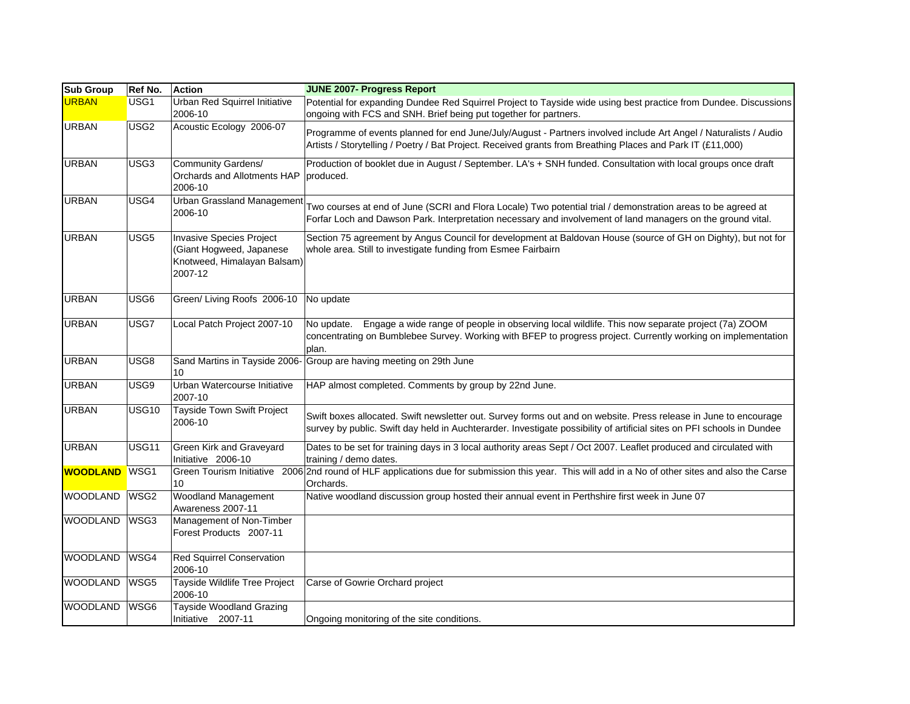| <b>Sub Group</b> | Ref No.          | <b>Action</b>                                                                                  | <b>JUNE 2007- Progress Report</b>                                                                                                                                                                                                          |
|------------------|------------------|------------------------------------------------------------------------------------------------|--------------------------------------------------------------------------------------------------------------------------------------------------------------------------------------------------------------------------------------------|
| <b>URBAN</b>     | USG1             | Urban Red Squirrel Initiative<br>2006-10                                                       | Potential for expanding Dundee Red Squirrel Project to Tayside wide using best practice from Dundee. Discussions<br>ongoing with FCS and SNH. Brief being put together for partners.                                                       |
| <b>URBAN</b>     | USG <sub>2</sub> | Acoustic Ecology 2006-07                                                                       | Programme of events planned for end June/July/August - Partners involved include Art Angel / Naturalists / Audio<br>Artists / Storytelling / Poetry / Bat Project. Received grants from Breathing Places and Park IT (£11,000)             |
| <b>URBAN</b>     | USG3             | <b>Community Gardens/</b><br>Orchards and Allotments HAP<br>2006-10                            | Production of booklet due in August / September. LA's + SNH funded. Consultation with local groups once draft<br>produced.                                                                                                                 |
| <b>URBAN</b>     | USG4             | Urban Grassland Management<br>2006-10                                                          | Two courses at end of June (SCRI and Flora Locale) Two potential trial / demonstration areas to be agreed at<br>Forfar Loch and Dawson Park. Interpretation necessary and involvement of land managers on the ground vital.                |
| <b>URBAN</b>     | USG5             | Invasive Species Project<br>(Giant Hogweed, Japanese<br>Knotweed, Himalayan Balsam)<br>2007-12 | Section 75 agreement by Angus Council for development at Baldovan House (source of GH on Dighty), but not for<br>whole area. Still to investigate funding from Esmee Fairbairn                                                             |
| <b>URBAN</b>     | USG6             | Green/ Living Roofs 2006-10                                                                    | No update                                                                                                                                                                                                                                  |
| <b>URBAN</b>     | USG7             | Local Patch Project 2007-10                                                                    | Engage a wide range of people in observing local wildlife. This now separate project (7a) ZOOM<br>No update.<br>concentrating on Bumblebee Survey. Working with BFEP to progress project. Currently working on implementation<br>plan.     |
| <b>URBAN</b>     | USG8             | Sand Martins in Tayside 2006-<br>10                                                            | Group are having meeting on 29th June                                                                                                                                                                                                      |
| <b>URBAN</b>     | USG9             | Urban Watercourse Initiative<br>2007-10                                                        | HAP almost completed. Comments by group by 22nd June.                                                                                                                                                                                      |
| <b>URBAN</b>     | <b>USG10</b>     | Tayside Town Swift Project<br>2006-10                                                          | Swift boxes allocated. Swift newsletter out. Survey forms out and on website. Press release in June to encourage<br>survey by public. Swift day held in Auchterarder. Investigate possibility of artificial sites on PFI schools in Dundee |
| <b>URBAN</b>     | USG11            | Green Kirk and Graveyard<br>Initiative 2006-10                                                 | Dates to be set for training days in 3 local authority areas Sept / Oct 2007. Leaflet produced and circulated with<br>training / demo dates.                                                                                               |
| <b>WOODLAND</b>  | WSG1             | 10                                                                                             | Green Tourism Initiative 2006 2nd round of HLF applications due for submission this year. This will add in a No of other sites and also the Carse<br>Orchards.                                                                             |
| <b>WOODLAND</b>  | WSG <sub>2</sub> | <b>Woodland Management</b><br>Awareness 2007-11                                                | Native woodland discussion group hosted their annual event in Perthshire first week in June 07                                                                                                                                             |
| <b>WOODLAND</b>  | WSG3             | Management of Non-Timber<br>Forest Products 2007-11                                            |                                                                                                                                                                                                                                            |
| <b>WOODLAND</b>  | WSG4             | Red Squirrel Conservation<br>2006-10                                                           |                                                                                                                                                                                                                                            |
| <b>WOODLAND</b>  | WSG5             | Tayside Wildlife Tree Project<br>2006-10                                                       | Carse of Gowrie Orchard project                                                                                                                                                                                                            |
| <b>WOODLAND</b>  | WSG6             | Tayside Woodland Grazing<br>Initiative 2007-11                                                 | Ongoing monitoring of the site conditions.                                                                                                                                                                                                 |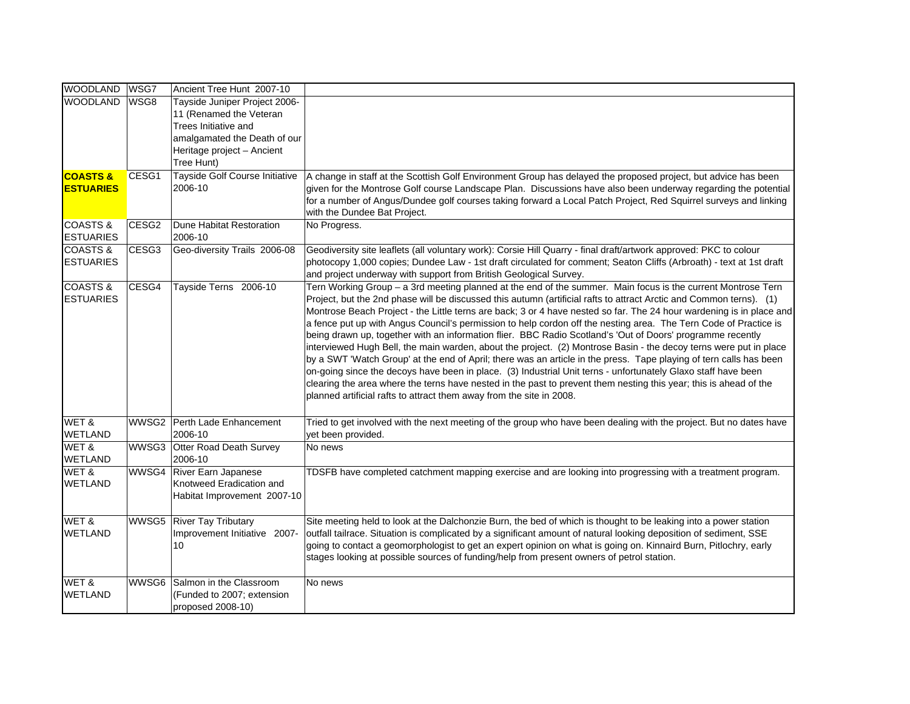| <b>WOODLAND</b>        | WSG7  | Ancient Tree Hunt 2007-10      |                                                                                                                                                                                                                                       |
|------------------------|-------|--------------------------------|---------------------------------------------------------------------------------------------------------------------------------------------------------------------------------------------------------------------------------------|
| <b>WOODLAND</b>        | WSG8  | Tayside Juniper Project 2006-  |                                                                                                                                                                                                                                       |
|                        |       | 11 (Renamed the Veteran        |                                                                                                                                                                                                                                       |
|                        |       | Trees Initiative and           |                                                                                                                                                                                                                                       |
|                        |       | amalgamated the Death of our   |                                                                                                                                                                                                                                       |
|                        |       | Heritage project - Ancient     |                                                                                                                                                                                                                                       |
|                        |       | Tree Hunt)                     |                                                                                                                                                                                                                                       |
| <b>COASTS &amp;</b>    | CESG1 | Tayside Golf Course Initiative | A change in staff at the Scottish Golf Environment Group has delayed the proposed project, but advice has been                                                                                                                        |
| <b>ESTUARIES</b>       |       | 2006-10                        | given for the Montrose Golf course Landscape Plan. Discussions have also been underway regarding the potential                                                                                                                        |
|                        |       |                                | for a number of Angus/Dundee golf courses taking forward a Local Patch Project, Red Squirrel surveys and linking                                                                                                                      |
|                        |       |                                | with the Dundee Bat Project.                                                                                                                                                                                                          |
| <b>COASTS &amp;</b>    | CESG2 | Dune Habitat Restoration       | No Progress.                                                                                                                                                                                                                          |
| <b>ESTUARIES</b>       |       | 2006-10                        |                                                                                                                                                                                                                                       |
| <b>COASTS &amp;</b>    | CESG3 | Geo-diversity Trails 2006-08   | Geodiversity site leaflets (all voluntary work): Corsie Hill Quarry - final draft/artwork approved: PKC to colour                                                                                                                     |
| <b>ESTUARIES</b>       |       |                                | photocopy 1,000 copies; Dundee Law - 1st draft circulated for comment; Seaton Cliffs (Arbroath) - text at 1st draft                                                                                                                   |
|                        |       |                                | and project underway with support from British Geological Survey.                                                                                                                                                                     |
| <b>COASTS &amp;</b>    | CESG4 | Tayside Terns 2006-10          | Tern Working Group - a 3rd meeting planned at the end of the summer. Main focus is the current Montrose Tern                                                                                                                          |
| <b>ESTUARIES</b>       |       |                                | Project, but the 2nd phase will be discussed this autumn (artificial rafts to attract Arctic and Common terns). (1)                                                                                                                   |
|                        |       |                                | Montrose Beach Project - the Little terns are back; 3 or 4 have nested so far. The 24 hour wardening is in place and                                                                                                                  |
|                        |       |                                | a fence put up with Angus Council's permission to help cordon off the nesting area. The Tern Code of Practice is                                                                                                                      |
|                        |       |                                | being drawn up, together with an information flier. BBC Radio Scotland's 'Out of Doors' programme recently                                                                                                                            |
|                        |       |                                | interviewed Hugh Bell, the main warden, about the project. (2) Montrose Basin - the decoy terns were put in place                                                                                                                     |
|                        |       |                                | by a SWT 'Watch Group' at the end of April; there was an article in the press. Tape playing of tern calls has been                                                                                                                    |
|                        |       |                                | on-going since the decoys have been in place. (3) Industrial Unit terns - unfortunately Glaxo staff have been                                                                                                                         |
|                        |       |                                | clearing the area where the terns have nested in the past to prevent them nesting this year; this is ahead of the                                                                                                                     |
|                        |       |                                | planned artificial rafts to attract them away from the site in 2008.                                                                                                                                                                  |
|                        |       |                                |                                                                                                                                                                                                                                       |
| WET&                   |       | WWSG2 Perth Lade Enhancement   | Tried to get involved with the next meeting of the group who have been dealing with the project. But no dates have                                                                                                                    |
| <b>WETLAND</b>         |       | 2006-10                        | yet been provided.                                                                                                                                                                                                                    |
| WET&                   | WWSG3 | Otter Road Death Survey        | No news                                                                                                                                                                                                                               |
| <b>WETLAND</b>         |       | 2006-10                        |                                                                                                                                                                                                                                       |
| WET&                   | WWSG4 | River Earn Japanese            | TDSFB have completed catchment mapping exercise and are looking into progressing with a treatment program.                                                                                                                            |
| <b>WETLAND</b>         |       | Knotweed Eradication and       |                                                                                                                                                                                                                                       |
|                        |       | Habitat Improvement 2007-10    |                                                                                                                                                                                                                                       |
|                        |       |                                |                                                                                                                                                                                                                                       |
| WET&<br><b>WETLAND</b> |       | WWSG5 River Tay Tributary      | Site meeting held to look at the Dalchonzie Burn, the bed of which is thought to be leaking into a power station<br>outfall tailrace. Situation is complicated by a significant amount of natural looking deposition of sediment, SSE |
|                        |       | Improvement Initiative 2007-   | going to contact a geomorphologist to get an expert opinion on what is going on. Kinnaird Burn, Pitlochry, early                                                                                                                      |
|                        |       | 10                             |                                                                                                                                                                                                                                       |
|                        |       |                                | stages looking at possible sources of funding/help from present owners of petrol station.                                                                                                                                             |
| WET&                   | WWSG6 | Salmon in the Classroom        | No news                                                                                                                                                                                                                               |
| <b>WETLAND</b>         |       | (Funded to 2007; extension     |                                                                                                                                                                                                                                       |
|                        |       | proposed 2008-10)              |                                                                                                                                                                                                                                       |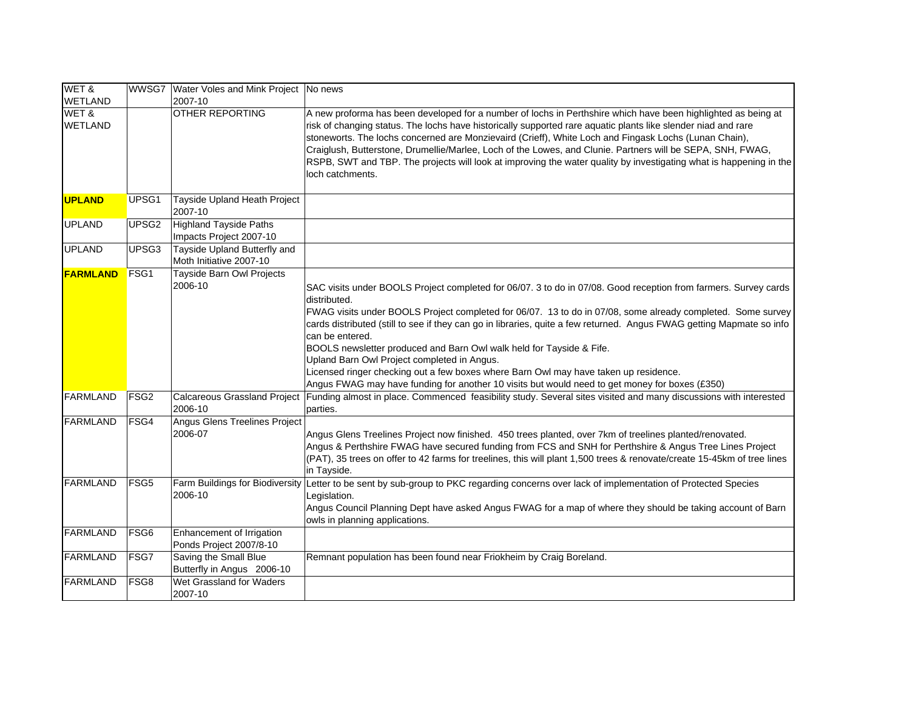| WET&<br><b>WETLAND</b> |                   | WWSG7 Water Voles and Mink Project No news<br>2007-10    |                                                                                                                                                                                                                                                                                                                                                                                                                                                                                                                                                                                                                                                                                                             |
|------------------------|-------------------|----------------------------------------------------------|-------------------------------------------------------------------------------------------------------------------------------------------------------------------------------------------------------------------------------------------------------------------------------------------------------------------------------------------------------------------------------------------------------------------------------------------------------------------------------------------------------------------------------------------------------------------------------------------------------------------------------------------------------------------------------------------------------------|
| WET&<br><b>WETLAND</b> |                   | <b>OTHER REPORTING</b>                                   | A new proforma has been developed for a number of lochs in Perthshire which have been highlighted as being at<br>risk of changing status. The lochs have historically supported rare aquatic plants like slender niad and rare<br>stoneworts. The lochs concerned are Monzievaird (Crieff), White Loch and Fingask Lochs (Lunan Chain),<br>Craiglush, Butterstone, Drumellie/Marlee, Loch of the Lowes, and Clunie. Partners will be SEPA, SNH, FWAG,<br>RSPB, SWT and TBP. The projects will look at improving the water quality by investigating what is happening in the<br>loch catchments.                                                                                                             |
| <b>UPLAND</b>          | UPSG1             | Tayside Upland Heath Project<br>2007-10                  |                                                                                                                                                                                                                                                                                                                                                                                                                                                                                                                                                                                                                                                                                                             |
| <b>UPLAND</b>          | UPSG <sub>2</sub> | <b>Highland Tayside Paths</b><br>Impacts Project 2007-10 |                                                                                                                                                                                                                                                                                                                                                                                                                                                                                                                                                                                                                                                                                                             |
| <b>UPLAND</b>          | UPSG3             | Tayside Upland Butterfly and<br>Moth Initiative 2007-10  |                                                                                                                                                                                                                                                                                                                                                                                                                                                                                                                                                                                                                                                                                                             |
| <b>FARMLAND</b>        | FSG <sub>1</sub>  | Tayside Barn Owl Projects<br>2006-10                     | SAC visits under BOOLS Project completed for 06/07. 3 to do in 07/08. Good reception from farmers. Survey cards<br>distributed.<br>FWAG visits under BOOLS Project completed for 06/07. 13 to do in 07/08, some already completed. Some survey<br>cards distributed (still to see if they can go in libraries, quite a few returned. Angus FWAG getting Mapmate so info<br>can be entered.<br>BOOLS newsletter produced and Barn Owl walk held for Tayside & Fife.<br>Upland Barn Owl Project completed in Angus.<br>Licensed ringer checking out a few boxes where Barn Owl may have taken up residence.<br>Angus FWAG may have funding for another 10 visits but would need to get money for boxes (£350) |
| <b>FARMLAND</b>        | FSG <sub>2</sub>  | <b>Calcareous Grassland Project</b><br>2006-10           | Funding almost in place. Commenced feasibility study. Several sites visited and many discussions with interested<br>parties.                                                                                                                                                                                                                                                                                                                                                                                                                                                                                                                                                                                |
| <b>FARMLAND</b>        | FSG4              | Angus Glens Treelines Project<br>2006-07                 | Angus Glens Treelines Project now finished. 450 trees planted, over 7km of treelines planted/renovated.<br>Angus & Perthshire FWAG have secured funding from FCS and SNH for Perthshire & Angus Tree Lines Project<br>(PAT), 35 trees on offer to 42 farms for treelines, this will plant 1,500 trees & renovate/create 15-45km of tree lines<br>in Tayside.                                                                                                                                                                                                                                                                                                                                                |
| <b>FARMLAND</b>        | FSG <sub>5</sub>  | 2006-10                                                  | Farm Buildings for Biodiversity Letter to be sent by sub-group to PKC regarding concerns over lack of implementation of Protected Species<br>Legislation.<br>Angus Council Planning Dept have asked Angus FWAG for a map of where they should be taking account of Barn<br>owls in planning applications.                                                                                                                                                                                                                                                                                                                                                                                                   |
| <b>FARMLAND</b>        | FSG6              | Enhancement of Irrigation<br>Ponds Project 2007/8-10     |                                                                                                                                                                                                                                                                                                                                                                                                                                                                                                                                                                                                                                                                                                             |
| <b>FARMLAND</b>        | FSG7              | Saving the Small Blue<br>Butterfly in Angus 2006-10      | Remnant population has been found near Friokheim by Craig Boreland.                                                                                                                                                                                                                                                                                                                                                                                                                                                                                                                                                                                                                                         |
| <b>FARMLAND</b>        | FSG8              | Wet Grassland for Waders<br>2007-10                      |                                                                                                                                                                                                                                                                                                                                                                                                                                                                                                                                                                                                                                                                                                             |